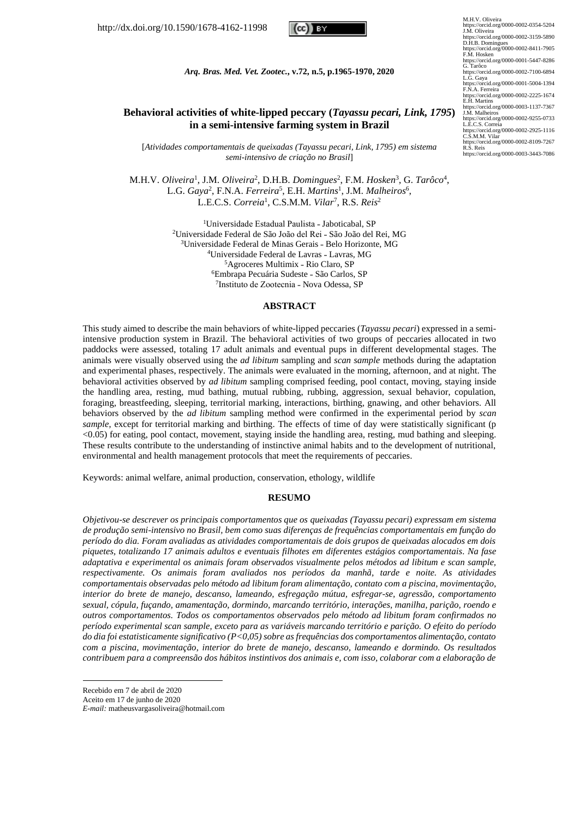http://dx.doi.org/10.1590/1678-4162-11998

# cc III Th

*Arq. Bras. Med. Vet. Zootec.***, v.72, n.5, p.1965-1970, 2020**

# **Behavioral activities of white-lipped peccary (***Tayassu pecari, Link, 1795***) in a semi-intensive farming system in Brazil**

[*Atividades comportamentais de queixadas (Tayassu pecari, Link, 1795) em sistema semi-intensivo de criação no Brasil*]

M.H.V. *Oliveira*<sup>1</sup>, J.M. *Oliveira*<sup>2</sup>, D.H.B. *Domingues*<sup>2</sup>, F.M. *Hosken*<sup>3</sup>, G. *Tarôco*<sup>4</sup>, L.G. *Gaya*<sup>2</sup>, F.N.A. *Ferreira*<sup>5</sup>, E.H. *Martins*<sup>1</sup>, J.M. *Malheiros*<sup>6</sup>, L.E.C.S. *Correia*<sup>1</sup> , C.S.M.M. *Vilar*<sup>7</sup> , R.S. *Reis*<sup>2</sup>

> <sup>1</sup>Universidade Estadual Paulista - Jaboticabal, SP <sup>2</sup>Universidade Federal de São João del Rei - São João del Rei, MG <sup>3</sup>Universidade Federal de Minas Gerais - Belo Horizonte, MG <sup>4</sup>Universidade Federal de Lavras - Lavras, MG <sup>5</sup>Agroceres Multimix - Rio Claro, SP <sup>6</sup>Embrapa Pecuária Sudeste - São Carlos, SP <sup>7</sup>Instituto de Zootecnia - Nova Odessa, SP

#### **ABSTRACT**

This study aimed to describe the main behaviors of white-lipped peccaries (*Tayassu pecari*) expressed in a semiintensive production system in Brazil. The behavioral activities of two groups of peccaries allocated in two paddocks were assessed, totaling 17 adult animals and eventual pups in different developmental stages. The animals were visually observed using the *ad libitum* sampling and *scan sample* methods during the adaptation and experimental phases, respectively. The animals were evaluated in the morning, afternoon, and at night. The behavioral activities observed by *ad libitum* sampling comprised feeding, pool contact, moving, staying inside the handling area, resting, mud bathing, mutual rubbing, rubbing, aggression, sexual behavior, copulation, foraging, breastfeeding, sleeping, territorial marking, interactions, birthing, gnawing, and other behaviors. All behaviors observed by the *ad libitum* sampling method were confirmed in the experimental period by *scan sample*, except for territorial marking and birthing. The effects of time of day were statistically significant (p <0.05) for eating, pool contact, movement, staying inside the handling area, resting, mud bathing and sleeping. These results contribute to the understanding of instinctive animal habits and to the development of nutritional, environmental and health management protocols that meet the requirements of peccaries.

Keywords: animal welfare, animal production, conservation, ethology, wildlife

#### **RESUMO**

*Objetivou-se descrever os principais comportamentos que os queixadas (Tayassu pecari) expressam em sistema de produção semi-intensivo no Brasil, bem como suas diferenças de frequências comportamentais em função do período do dia. Foram avaliadas as atividades comportamentais de dois grupos de queixadas alocados em dois piquetes, totalizando 17 animais adultos e eventuais filhotes em diferentes estágios comportamentais. Na fase adaptativa e experimental os animais foram observados visualmente pelos métodos ad libitum e scan sample, respectivamente. Os animais foram avaliados nos períodos da manhã, tarde e noite. As atividades comportamentais observadas pelo método ad libitum foram alimentação, contato com a piscina, movimentação, interior do brete de manejo, descanso, lameando, esfregação mútua, esfregar-se, agressão, comportamento sexual, cópula, fuçando, amamentação, dormindo, marcando território, interações, manilha, parição, roendo e outros comportamentos. Todos os comportamentos observados pelo método ad libitum foram confirmados no período experimental scan sample, exceto para as variáveis marcando território e parição. O efeito do período do dia foi estatisticamente significativo (P<0,05) sobre as frequências dos comportamentos alimentação, contato com a piscina, movimentação, interior do brete de manejo, descanso, lameando e dormindo. Os resultados contribuem para a compreensão dos hábitos instintivos dos animais e, com isso, colaborar com a elaboração de* 

Recebido em 7 de abril de 2020

Aceito em 17 de junho de 2020

*E-mail:* matheusvargasoliveira@hotmail.com

M.H.V. Oliveira https://orcid.org/0000-0002-0354-5204 J.M. Oliveira https://orcid.org/0000-0002-3159-5890<br>D.H.B. Domingues D.H.B. Domingues https://orcid.org/0000-0002-8411-7905 F.M. Hosken https://orcid.org/0000-0001-5447-8286 G. Tarôco https://orcid.org/0000-0002-7100-6894 L.G. Gaya https://orcid.org/0000-0001-5004-1394 F.N.A. Ferreira https://orcid.org/0000-0002-2225-1674 E.H. Martins https://orcid.org/0000-0003-1137-7367 J.M. Malheiros https://orcid.org/0000-0002-9255-0733 L.E.C.S. Correia https://orcid.org/0000-0002-2925-1116<br>C.S.M.M. Vilar C.S.M.M. Vilar https://orcid.org/0000-0002-8109-7267 R.S. Reis https://orcid.org/0000-0003-3443-7086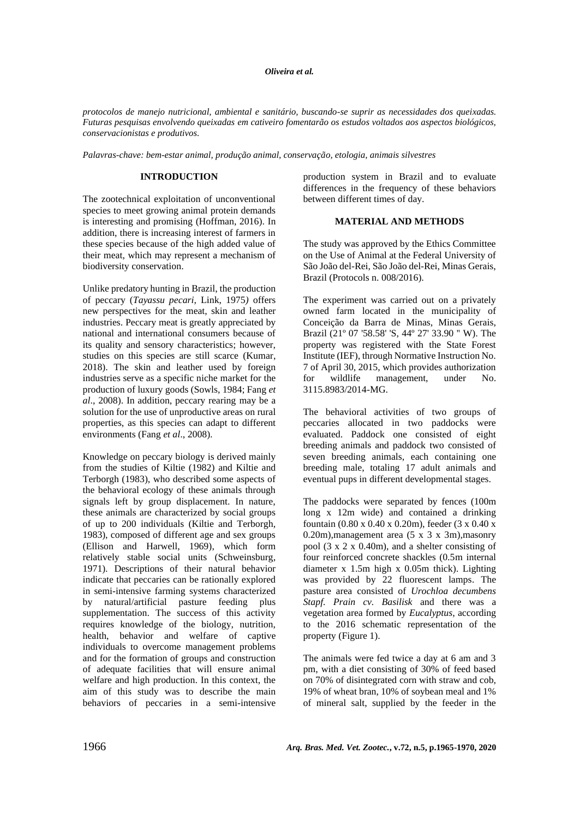#### *Oliveira et al.*

*protocolos de manejo nutricional, ambiental e sanitário, buscando-se suprir as necessidades dos queixadas. Futuras pesquisas envolvendo queixadas em cativeiro fomentarão os estudos voltados aos aspectos biológicos, conservacionistas e produtivos.*

*Palavras-chave: bem-estar animal, produção animal, conservação, etologia, animais silvestres*

# **INTRODUCTION**

The zootechnical exploitation of unconventional species to meet growing animal protein demands is interesting and promising (Hoffman, 2016). In addition, there is increasing interest of farmers in these species because of the high added value of their meat, which may represent a mechanism of biodiversity conservation.

Unlike predatory hunting in Brazil, the production of peccary (*Tayassu pecari*, Link, 1975*)* offers new perspectives for the meat, skin and leather industries. Peccary meat is greatly appreciated by national and international consumers because of its quality and sensory characteristics; however, studies on this species are still scarce (Kumar, 2018). The skin and leather used by foreign industries serve as a specific niche market for the production of luxury goods (Sowls, 1984; Fang *et al*., 2008). In addition, peccary rearing may be a solution for the use of unproductive areas on rural properties, as this species can adapt to different environments (Fang *et al*., 2008).

Knowledge on peccary biology is derived mainly from the studies of Kiltie (1982) and Kiltie and Terborgh (1983), who described some aspects of the behavioral ecology of these animals through signals left by group displacement. In nature, these animals are characterized by social groups of up to 200 individuals (Kiltie and Terborgh, 1983), composed of different age and sex groups (Ellison and Harwell, 1969), which form relatively stable social units (Schweinsburg, 1971). Descriptions of their natural behavior indicate that peccaries can be rationally explored in semi-intensive farming systems characterized by natural/artificial pasture feeding plus supplementation. The success of this activity requires knowledge of the biology, nutrition, health, behavior and welfare of captive individuals to overcome management problems and for the formation of groups and construction of adequate facilities that will ensure animal welfare and high production. In this context, the aim of this study was to describe the main behaviors of peccaries in a semi-intensive production system in Brazil and to evaluate differences in the frequency of these behaviors between different times of day.

# **MATERIAL AND METHODS**

The study was approved by the Ethics Committee on the Use of Animal at the Federal University of São João del-Rei, São João del-Rei, Minas Gerais, Brazil (Protocols n. 008/2016).

The experiment was carried out on a privately owned farm located in the municipality of Conceição da Barra de Minas, Minas Gerais, Brazil (21º 07 '58.58' 'S, 44º 27' 33.90 '' W). The property was registered with the State Forest Institute (IEF), through Normative Instruction No. 7 of April 30, 2015, which provides authorization for wildlife management, under No. 3115.8983/2014-MG.

The behavioral activities of two groups of peccaries allocated in two paddocks were evaluated. Paddock one consisted of eight breeding animals and paddock two consisted of seven breeding animals, each containing one breeding male, totaling 17 adult animals and eventual pups in different developmental stages.

The paddocks were separated by fences (100m long x 12m wide) and contained a drinking fountain (0.80 x 0.40 x 0.20m), feeder (3 x 0.40 x 0.20m),management area (5 x 3 x 3m),masonry pool (3 x 2 x 0.40m), and a shelter consisting of four reinforced concrete shackles (0.5m internal diameter x 1.5m high x 0.05m thick). Lighting was provided by 22 fluorescent lamps. The pasture area consisted of *Urochloa decumbens Stapf. Prain cv. Basilisk* and there was a vegetation area formed by *Eucalyptus*, according to the 2016 schematic representation of the property (Figure 1).

The animals were fed twice a day at 6 am and 3 pm, with a diet consisting of 30% of feed based on 70% of disintegrated corn with straw and cob, 19% of wheat bran, 10% of soybean meal and 1% of mineral salt, supplied by the feeder in the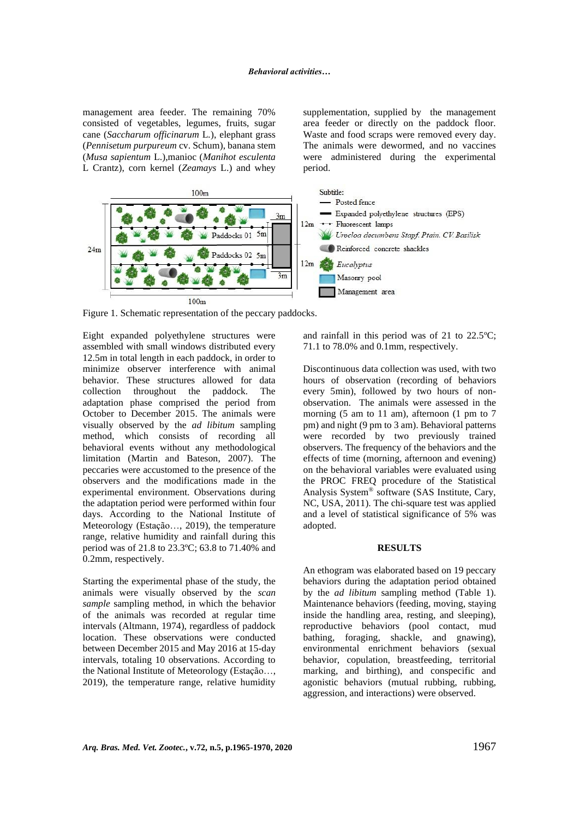management area feeder. The remaining 70% consisted of vegetables, legumes, fruits, sugar cane (*Saccharum officinarum* L*.*), elephant grass (*Pennisetum purpureum* cv. Schum), banana stem (*Musa sapientum* L.),manioc (*Manihot esculenta*  L Crantz), corn kernel (*Zeamays* L.) and whey

supplementation, supplied by the management area feeder or directly on the paddock floor. Waste and food scraps were removed every day. The animals were dewormed, and no vaccines were administered during the experimental period.



Figure 1. Schematic representation of the peccary paddocks.

Eight expanded polyethylene structures were assembled with small windows distributed every 12.5m in total length in each paddock, in order to minimize observer interference with animal behavior. These structures allowed for data collection throughout the paddock. The adaptation phase comprised the period from October to December 2015. The animals were visually observed by the *ad libitum* sampling method, which consists of recording all behavioral events without any methodological limitation (Martin and Bateson, 2007). The peccaries were accustomed to the presence of the observers and the modifications made in the experimental environment. Observations during the adaptation period were performed within four days. According to the National Institute of Meteorology (Estação…, 2019), the temperature range, relative humidity and rainfall during this period was of 21.8 to 23.3ºC; 63.8 to 71.40% and 0.2mm, respectively.

Starting the experimental phase of the study, the animals were visually observed by the *scan sample* sampling method, in which the behavior of the animals was recorded at regular time intervals (Altmann, 1974), regardless of paddock location. These observations were conducted between December 2015 and May 2016 at 15-day intervals, totaling 10 observations. According to the National Institute of Meteorology (Estação…, 2019), the temperature range, relative humidity

and rainfall in this period was of 21 to 22.5ºC; 71.1 to 78.0% and 0.1mm, respectively.

Discontinuous data collection was used, with two hours of observation (recording of behaviors every 5min), followed by two hours of nonobservation. The animals were assessed in the morning (5 am to 11 am), afternoon (1 pm to 7 pm) and night (9 pm to 3 am). Behavioral patterns were recorded by two previously trained observers. The frequency of the behaviors and the effects of time (morning, afternoon and evening) on the behavioral variables were evaluated using the PROC FREQ procedure of the Statistical Analysis System® software (SAS Institute, Cary, NC, USA, 2011). The chi-square test was applied and a level of statistical significance of 5% was adopted.

#### **RESULTS**

An ethogram was elaborated based on 19 peccary behaviors during the adaptation period obtained by the *ad libitum* sampling method (Table 1). Maintenance behaviors (feeding, moving, staying inside the handling area, resting, and sleeping), reproductive behaviors (pool contact, mud bathing, foraging, shackle, and gnawing), environmental enrichment behaviors (sexual behavior, copulation, breastfeeding, territorial marking, and birthing), and conspecific and agonistic behaviors (mutual rubbing, rubbing, aggression, and interactions) were observed.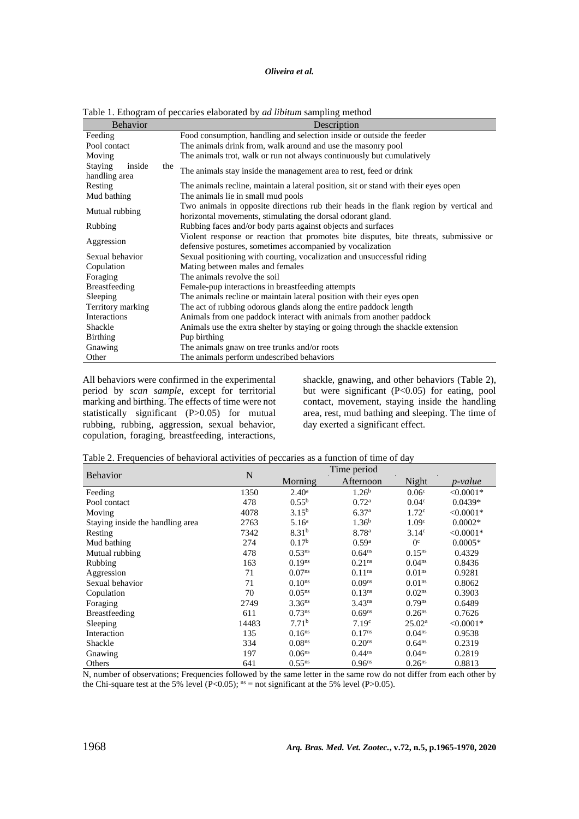# *Oliveira et al.*

| <b>Behavior</b>                           |                                              | Description                                                                            |  |  |  |  |  |
|-------------------------------------------|----------------------------------------------|----------------------------------------------------------------------------------------|--|--|--|--|--|
| Feeding                                   |                                              | Food consumption, handling and selection inside or outside the feeder                  |  |  |  |  |  |
| Pool contact                              |                                              | The animals drink from, walk around and use the masonry pool                           |  |  |  |  |  |
| Moving                                    |                                              | The animals trot, walk or run not always continuously but cumulatively                 |  |  |  |  |  |
| <b>Staying</b><br>inside<br>handling area | the                                          | The animals stay inside the management area to rest, feed or drink                     |  |  |  |  |  |
| Resting                                   |                                              | The animals recline, maintain a lateral position, sit or stand with their eyes open    |  |  |  |  |  |
| Mud bathing                               |                                              | The animals lie in small mud pools                                                     |  |  |  |  |  |
| Mutual rubbing                            |                                              | Two animals in opposite directions rub their heads in the flank region by vertical and |  |  |  |  |  |
|                                           |                                              | horizontal movements, stimulating the dorsal odorant gland.                            |  |  |  |  |  |
| Rubbing                                   |                                              | Rubbing faces and/or body parts against objects and surfaces                           |  |  |  |  |  |
| Aggression                                |                                              | Violent response or reaction that promotes bite disputes, bite threats, submissive or  |  |  |  |  |  |
|                                           |                                              | defensive postures, sometimes accompanied by vocalization                              |  |  |  |  |  |
| Sexual behavior                           |                                              | Sexual positioning with courting, vocalization and unsuccessful riding                 |  |  |  |  |  |
| Copulation                                |                                              | Mating between males and females                                                       |  |  |  |  |  |
| Foraging                                  |                                              | The animals revolve the soil                                                           |  |  |  |  |  |
| Breastfeeding                             |                                              | Female-pup interactions in breastfeeding attempts                                      |  |  |  |  |  |
| Sleeping                                  |                                              | The animals recline or maintain lateral position with their eyes open                  |  |  |  |  |  |
| Territory marking                         |                                              | The act of rubbing odorous glands along the entire paddock length                      |  |  |  |  |  |
| Interactions                              |                                              | Animals from one paddock interact with animals from another paddock                    |  |  |  |  |  |
| Shackle                                   |                                              | Animals use the extra shelter by staying or going through the shackle extension        |  |  |  |  |  |
| <b>Birthing</b>                           |                                              | Pup birthing                                                                           |  |  |  |  |  |
| Gnawing                                   | The animals gnaw on tree trunks and/or roots |                                                                                        |  |  |  |  |  |
| Other                                     | The animals perform undescribed behaviors    |                                                                                        |  |  |  |  |  |

Table 1. Ethogram of peccaries elaborated by *ad libitum* sampling method

All behaviors were confirmed in the experimental period by *scan sample*, except for territorial marking and birthing. The effects of time were not statistically significant (P>0.05) for mutual rubbing, rubbing, aggression, sexual behavior, copulation, foraging, breastfeeding, interactions,

shackle, gnawing, and other behaviors (Table 2), but were significant (P<0.05) for eating, pool contact, movement, staying inside the handling area, rest, mud bathing and sleeping. The time of day exerted a significant effect.

Table 2. Frequencies of behavioral activities of peccaries as a function of time of day

|                                  |             | Time period        |                    |                      |             |
|----------------------------------|-------------|--------------------|--------------------|----------------------|-------------|
| <b>Behavior</b>                  | $\mathbf N$ | Morning            | Afternoon          | Night                | p-value     |
| Feeding                          | 1350        | $2.40^{\rm a}$     | 1.26 <sup>b</sup>  | 0.06 <sup>c</sup>    | $< 0.0001*$ |
| Pool contact                     | 478         | $0.55^{\rm b}$     | 0.72 <sup>a</sup>  | 0.04 <sup>c</sup>    | $0.0439*$   |
| Moving                           | 4078        | $3.15^{b}$         | 6.37 <sup>a</sup>  | 1.72 <sup>c</sup>    | $< 0.0001*$ |
| Staying inside the handling area | 2763        | 5.16 <sup>a</sup>  | 1.36 <sup>b</sup>  | 1.09 <sup>c</sup>    | $0.0002*$   |
| Resting                          | 7342        | 8.31 <sup>b</sup>  | 8.78 <sup>a</sup>  | 3.14 <sup>c</sup>    | $<0.0001*$  |
| Mud bathing                      | 274         | 0.17 <sup>b</sup>  | 0.59 <sup>a</sup>  | 0 <sup>c</sup>       | $0.0005*$   |
| Mutual rubbing                   | 478         | $0.53^{ns}$        | 0.64 <sup>ns</sup> | 0.15 <sup>ns</sup>   | 0.4329      |
| Rubbing                          | 163         | 0.19 <sup>ns</sup> | 0.21 <sup>ns</sup> | 0.04 <sup>ns</sup>   | 0.8436      |
| Aggression                       | 71          | 0.07 <sup>ns</sup> | 0.11 <sup>ns</sup> | 0.01 <sup>ns</sup>   | 0.9281      |
| Sexual behavior                  | 71          | 0.10 <sup>ns</sup> | 0.09 <sup>ns</sup> | 0.01 <sup>ns</sup>   | 0.8062      |
| Copulation                       | 70          | $0.05^{ns}$        | 0.13 <sup>ns</sup> | 0.02 <sup>ns</sup>   | 0.3903      |
| Foraging                         | 2749        | 3.36 <sup>ns</sup> | $3.43^{ns}$        | $0.79$ <sup>ns</sup> | 0.6489      |
| <b>Breastfeeding</b>             | 611         | 0.73 <sup>ns</sup> | $0.69^{ns}$        | 0.26 <sup>ns</sup>   | 0.7626      |
| Sleeping                         | 14483       | 7.71 <sup>b</sup>  | 7.19 <sup>c</sup>  | 25.02 <sup>a</sup>   | $< 0.0001*$ |
| Interaction                      | 135         | 0.16 <sup>ns</sup> | 0.17 <sup>ns</sup> | 0.04 <sup>ns</sup>   | 0.9538      |
| Shackle                          | 334         | 0.08 <sup>ns</sup> | 0.20 <sup>ns</sup> | 0.64 <sup>ns</sup>   | 0.2319      |
| Gnawing                          | 197         | 0.06 <sup>ns</sup> | $0.44^{ns}$        | 0.04 <sup>ns</sup>   | 0.2819      |
| Others                           | 641         | $0.55^{ns}$        | 0.96 <sup>ns</sup> | 0.26 <sup>ns</sup>   | 0.8813      |

N, number of observations; Frequencies followed by the same letter in the same row do not differ from each other by the Chi-square test at the 5% level (P<0.05);  $^{ns}$  = not significant at the 5% level (P>0.05).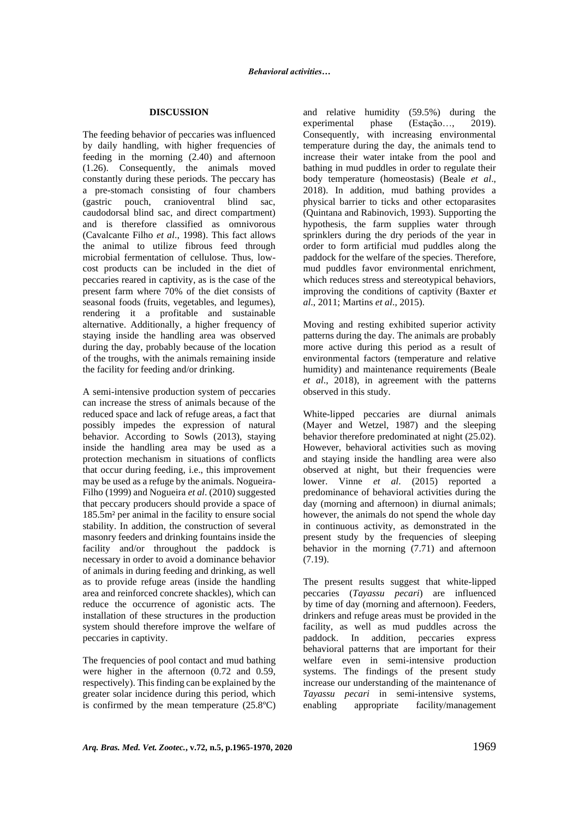### **DISCUSSION**

The feeding behavior of peccaries was influenced by daily handling, with higher frequencies of feeding in the morning (2.40) and afternoon (1.26). Consequently, the animals moved constantly during these periods. The peccary has a pre-stomach consisting of four chambers (gastric pouch, cranioventral blind sac, caudodorsal blind sac, and direct compartment) and is therefore classified as omnivorous (Cavalcante Filho *et al*., 1998). This fact allows the animal to utilize fibrous feed through microbial fermentation of cellulose. Thus, lowcost products can be included in the diet of peccaries reared in captivity, as is the case of the present farm where 70% of the diet consists of seasonal foods (fruits, vegetables, and legumes), rendering it a profitable and sustainable alternative. Additionally, a higher frequency of staying inside the handling area was observed during the day, probably because of the location of the troughs, with the animals remaining inside the facility for feeding and/or drinking.

A semi-intensive production system of peccaries can increase the stress of animals because of the reduced space and lack of refuge areas, a fact that possibly impedes the expression of natural behavior. According to Sowls (2013), staying inside the handling area may be used as a protection mechanism in situations of conflicts that occur during feeding, i.e., this improvement may be used as a refuge by the animals. Nogueira-Filho (1999) and Nogueira *et al*. (2010) suggested that peccary producers should provide a space of 185.5m² per animal in the facility to ensure social stability. In addition, the construction of several masonry feeders and drinking fountains inside the facility and/or throughout the paddock is necessary in order to avoid a dominance behavior of animals in during feeding and drinking, as well as to provide refuge areas (inside the handling area and reinforced concrete shackles), which can reduce the occurrence of agonistic acts. The installation of these structures in the production system should therefore improve the welfare of peccaries in captivity.

The frequencies of pool contact and mud bathing were higher in the afternoon (0.72 and 0.59, respectively). This finding can be explained by the greater solar incidence during this period, which is confirmed by the mean temperature (25.8ºC) and relative humidity (59.5%) during the experimental phase (Estação…, 2019). Consequently, with increasing environmental temperature during the day, the animals tend to increase their water intake from the pool and bathing in mud puddles in order to regulate their body temperature (homeostasis) (Beale *et al*., 2018). In addition, mud bathing provides a physical barrier to ticks and other ectoparasites (Quintana and Rabinovich, 1993). Supporting the hypothesis, the farm supplies water through sprinklers during the dry periods of the year in order to form artificial mud puddles along the paddock for the welfare of the species. Therefore, mud puddles favor environmental enrichment, which reduces stress and stereotypical behaviors, improving the conditions of captivity (Baxter *et al*., 2011; Martins *et al*., 2015).

Moving and resting exhibited superior activity patterns during the day. The animals are probably more active during this period as a result of environmental factors (temperature and relative humidity) and maintenance requirements (Beale *et al*., 2018), in agreement with the patterns observed in this study.

White-lipped peccaries are diurnal animals (Mayer and Wetzel, 1987) and the sleeping behavior therefore predominated at night (25.02). However, behavioral activities such as moving and staying inside the handling area were also observed at night, but their frequencies were lower. Vinne *et al*. (2015) reported a predominance of behavioral activities during the day (morning and afternoon) in diurnal animals; however, the animals do not spend the whole day in continuous activity, as demonstrated in the present study by the frequencies of sleeping behavior in the morning (7.71) and afternoon (7.19).

The present results suggest that white-lipped peccaries (*Tayassu pecari*) are influenced by time of day (morning and afternoon). Feeders, drinkers and refuge areas must be provided in the facility, as well as mud puddles across the paddock. In addition, peccaries express behavioral patterns that are important for their welfare even in semi-intensive production systems. The findings of the present study increase our understanding of the maintenance of *Tayassu pecari* in semi-intensive systems, enabling appropriate facility/management